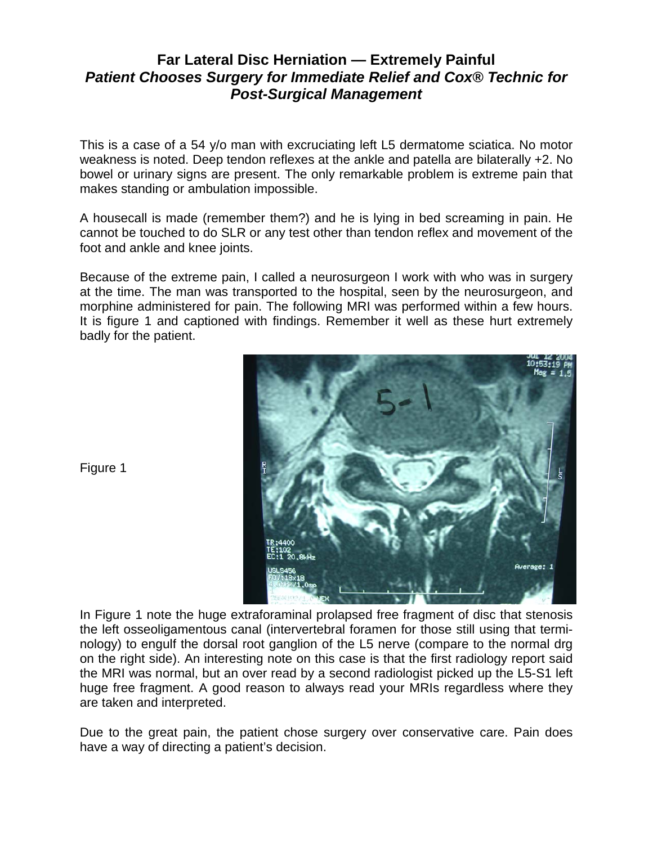## **Far Lateral Disc Herniation — Extremely Painful**  *Patient Chooses Surgery for Immediate Relief and Cox® Technic for Post-Surgical Management*

This is a case of a 54 y/o man with excruciating left L5 dermatome sciatica. No motor weakness is noted. Deep tendon reflexes at the ankle and patella are bilaterally +2. No bowel or urinary signs are present. The only remarkable problem is extreme pain that makes standing or ambulation impossible.

A housecall is made (remember them?) and he is lying in bed screaming in pain. He cannot be touched to do SLR or any test other than tendon reflex and movement of the foot and ankle and knee joints.

Because of the extreme pain, I called a neurosurgeon I work with who was in surgery at the time. The man was transported to the hospital, seen by the neurosurgeon, and morphine administered for pain. The following MRI was performed within a few hours. It is figure 1 and captioned with findings. Remember it well as these hurt extremely badly for the patient.



Figure 1

In Figure 1 note the huge extraforaminal prolapsed free fragment of disc that stenosis the left osseoligamentous canal (intervertebral foramen for those still using that terminology) to engulf the dorsal root ganglion of the L5 nerve (compare to the normal drg on the right side). An interesting note on this case is that the first radiology report said the MRI was normal, but an over read by a second radiologist picked up the L5-S1 left huge free fragment. A good reason to always read your MRIs regardless where they are taken and interpreted.

Due to the great pain, the patient chose surgery over conservative care. Pain does have a way of directing a patient's decision.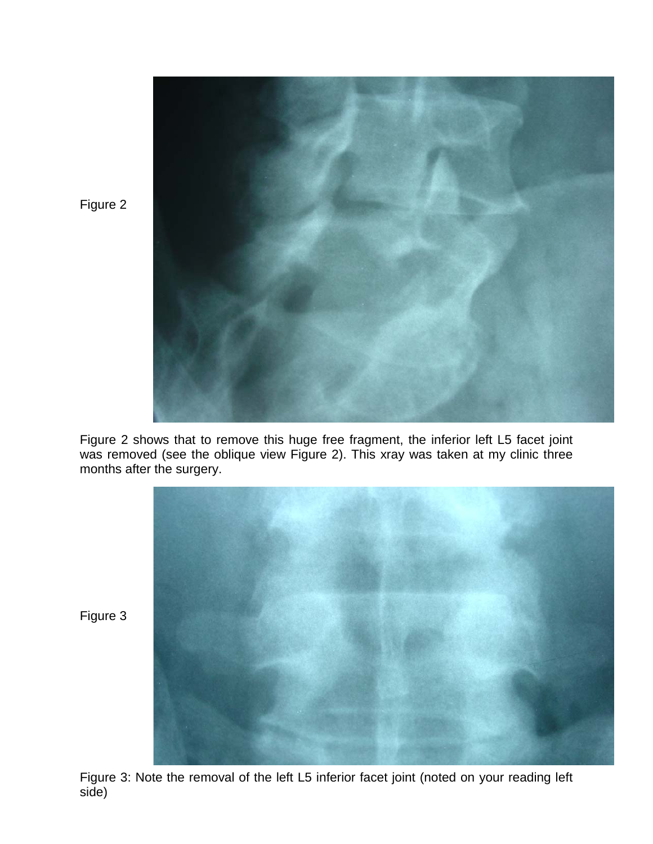

Figure 2 shows that to remove this huge free fragment, the inferior left L5 facet joint was removed (see the oblique view Figure 2). This xray was taken at my clinic three months after the surgery.



Figure 3

Figure 2

Figure 3: Note the removal of the left L5 inferior facet joint (noted on your reading left side)